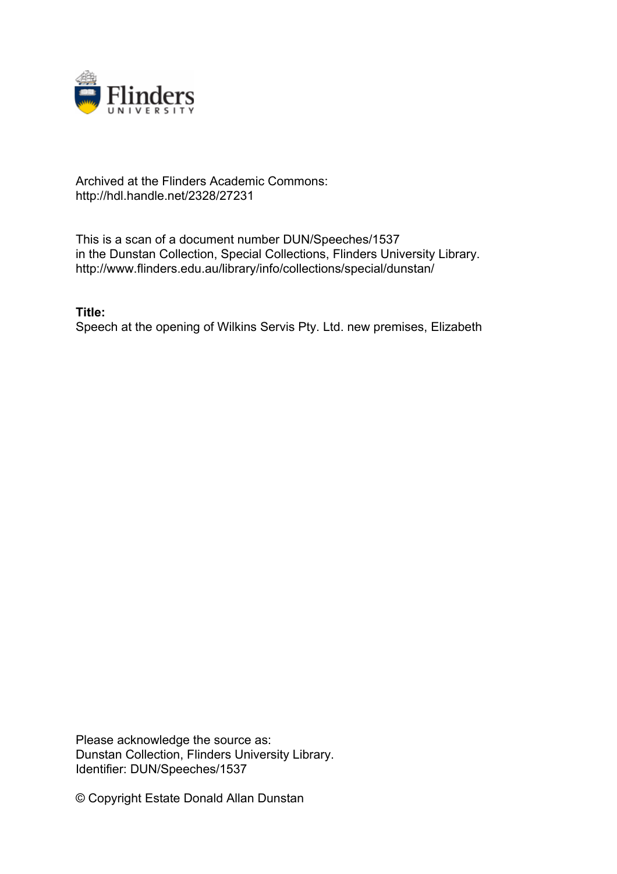

## Archived at the Flinders Academic Commons: http://hdl.handle.net/2328/27231

This is a scan of a document number DUN/Speeches/1537 in the Dunstan Collection, Special Collections, Flinders University Library. http://www.flinders.edu.au/library/info/collections/special/dunstan/

**Title:**

Speech at the opening of Wilkins Servis Pty. Ltd. new premises, Elizabeth

Please acknowledge the source as: Dunstan Collection, Flinders University Library. Identifier: DUN/Speeches/1537

© Copyright Estate Donald Allan Dunstan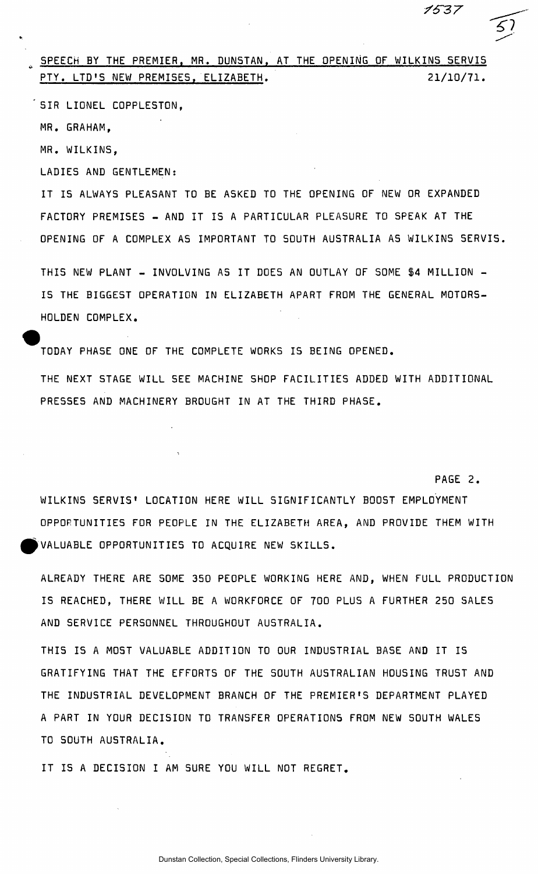SPEECH BY THE PREMIER, MR. DUNSTAN, AT THE OPENING OF WILKINS SERVIS PTY. LTD<sup>1</sup> 5 NEW PREMISES , ELIZABETH. 21/10/71 .

SIR LIONEL COPPLESTON.

MR. GRAHAM,

MR. WILKINS ,

LADIES AND GENTLEMEN:

IT IS ALWAYS PLEASANT TO BE ASKED TO THE OPENING OF NEW OR EXPANDED FACTORY PREMISES - AND IT IS A PARTICULAR PLEASURE TO SPEAK AT THE OPENING OF A COMPLEX AS IMPORTANT TO SOUTH AUSTRALIA AS WILKINS SERVIS .

THIS NEW PLANT - INVOLVING AS IT DOES AN OUTLAY OF SOME \$4 MILLION -IS THE BIGGEST OPERATION IN ELIZABETH APART FROM THE GENERAL MOTORS-HOLDEN COMPLEX.

TODAY PHASE ONE OF THE COMPLETE WORKS IS BEING OPENED.

THE NEXT STAGE WILL SEE MACHINE SHOP FACILITIES ADDED WITH ADDITIONAL PRESSES AND MACHINERY BROUGHT IN AT THE THIRD PHASE.

WILKINS SERVIS' LOCATION HERE WILL SIGNIFICANTLY BOOST EMPLOYMENT OPPORTUNITIES FOR PEOPLE IN THE ELIZABETH AREA, AND PROVIDE THEM WITH VALUABLE OPPORTUNITIES TO ACQUIRE NEW SKILLS .

PAGE 2.

1537

ALREADY THERE ARE SOME 350 PEOPLE WORKING HERE AND, WHEN FULL PRODUCTION IS REACHED, THERE WILL BE A WORKFORCE OF 700 PLUS A FURTHER 250 SALES AND SERVICE PERSONNEL THROUGHOUT AUSTRALIA.

THIS IS A MOST VALUABLE ADDITION TO OUR INDUSTRIAL BASE AND IT IS GRATIFYING THAT THE EFFORTS OF THE SOUTH AUSTRALIAN HOUSING TRUST AND THE INDUSTRIAL DEVELOPMENT BRANCH OF THE PREMIER'S DEPARTMENT PLAYED A PART IN YOUR DECISION TO TRANSFER OPERATIONS FROM NEW SOUTH WALES TO SOUTH AUSTRALIA.

IT IS A DECISION I AM SURE YOU WILL NOT REGRET.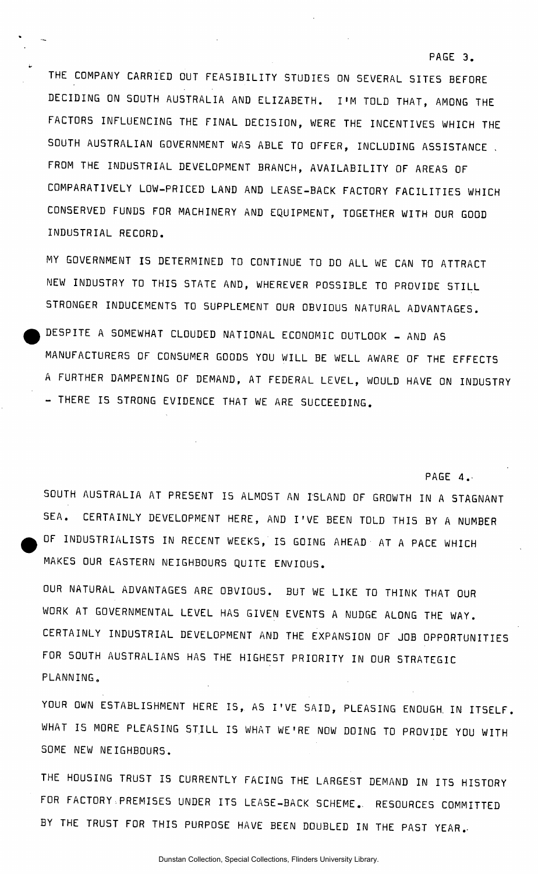THE COMPANY CARRIED OUT FEASIBILITY STUDIES ON SEVERAL SITES BEFORE DECIDING ON SOUTH AUSTRALIA AND ELIZABETH. I'M TOLD THAT, AMONG THE FACTORS INFLUENCING THE FINAL DECISION, WERE THE INCENTIVES WHICH THE SOUTH AUSTRALIAN GOVERNMENT WAS ABLE TO OFFER, INCLUDING ASSISTANCE. FROM THE INDUSTRIAL DEVELOPMENT BRANCH, AVAILABILITY OF AREAS OF COMPARATIVELY LOW-PRICED LAND AND LEASE-BACK FACTORY FACILITIES WHICH CONSERVED FUNDS FOR MACHINERY AND EQUIPMENT, TOGETHER WITH OUR GOOD INDUSTRIAL RECORD.

PAGE 3.

PAGE 4.

MY GOVERNMENT IS DETERMINED TO CONTINUE TO DO ALL WE CAN TO ATTRACT NEW INDUSTRY TO THIS STATE AND, WHEREVER POSSIBLE TO PROVIDE STILL STRONGER INDUCEMENTS TO SUPPLEMENT OUR OBVIOUS NATURAL ADVANTAGES.

DESPITE A SOMEWHAT CLOUDED NATIONAL ECONOMIC OUTLOOK - AND AS MANUFACTURERS OF CONSUMER GOODS YOU WILL BE WELL AWARE OF THE EFFECTS A FURTHER DAMPENING OF DEMAND, AT FEDERAL LEVEL, WOULD HAVE ON INDUSTRY - THERE IS STRONG EVIDENCE THAT WE ARE SUCCEEDING.

SOUTH AUSTRALIA AT PRESENT IS ALMOST AN ISLAND OF GROWTH IN A STAGNANT SEA. CERTAINLY DEVELOPMENT HERE, AND I'VE BEEN TOLD THIS BY A NUMBER OF INDUSTRIALISTS IN RECENT WEEKS, IS GOING AHEAD AT A PACE WHICH MAKES OUR EASTERN NEIGHBOURS QUITE ENVIOUS .

OUR NATURAL ADVANTAGES ARE OBVIOUS. BUT WE LIKE TO THINK THAT OUR WORK AT GOVERNMENTAL LEVEL HAS GIVEN EVENTS A NUDGE ALONG THE WAY. CERTAINLY INDUSTRIAL DEVELOPMENT AND THE EXPANSION OF JOB OPPORTUNITIES FOR SOUTH AUSTRALIANS HAS THE HIGHEST PRIORITY IN OUR STRATEGIC PLANNING.

YOUR OWN ESTABLISHMENT HERE IS, AS I'VE SAID, PLEASING ENOUGH. IN ITSELF. WHAT IS MORE PLEASING STILL IS WHAT WE'RE NOW DOING TO PROVIDE YOU WITH SOME NEW NEIGHBOURS .

THE HOUSING TRUST IS CURRENTLY FACING THE LARGEST DEMAND IN ITS HISTORY FOR FACTORY PREMISES UNDER ITS LEASE-BACK SCHEME. RESOURCES COMMITTED BY THE TRUST FOR THIS PURPOSE HAVE BEEN DOUBLED IN THE PAST YEAR.

Dunstan Collection, Special Collections, Flinders University Library.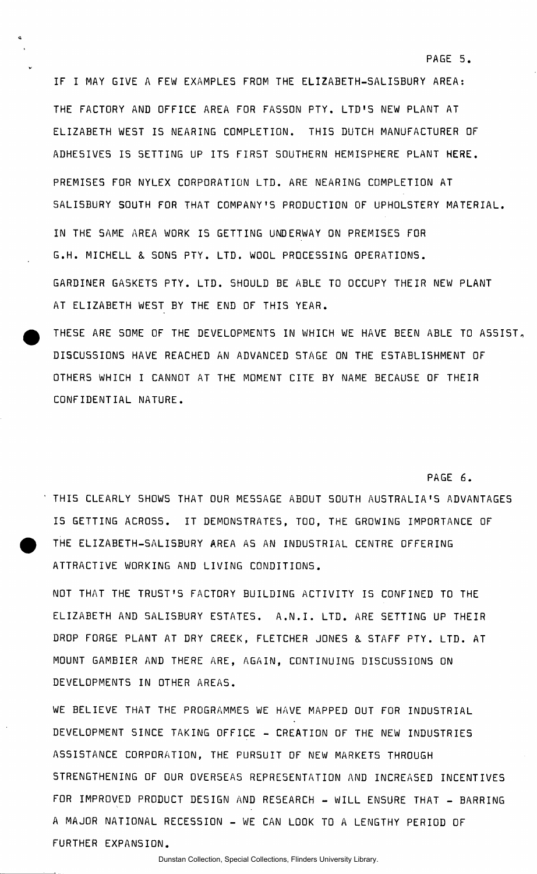IF I MAY GIVE A FEW EXAMPLES FROM THE ELIZABETH-SALISBURY AREA: THE FACTORY AND OFFICE AREA FOR FASSON PTY. LTD'S NEW PLANT AT ELIZABETH WEST IS NEARING COMPLETION. THIS DUTCH MANUFACTURER OF ADHESIVES IS SETTING UP ITS FIRST SOUTHERN HEMISPHERE PLANT HERE. PREMISES FOR NYLEX CORPORATION LTD. ARE NEARING COMPLETION AT SALISBURY SOUTH FOR THAT COMPANY'S PRODUCTION OF UPHOLSTERY MATERIAL. IN THE SAME AREA WORK IS GETTING UNDERWAY ON PREMISES FOR G.H. MICHELL & SONS PTY. LTD. WOOL PROCESSING OPERATIONS. GARDINER GASKETS PTY. LTD. SHOULD BE ABLE TO OCCUPY THEIR NEW PLANT AT ELIZABETH WEST BY THE END OF THIS YEAR.

PAGE 5.

PAGE 6.

THESE ARE SOME OF THE DEVELOPMENTS IN WHICH WE HAVE BEEN ABLE TO ASSIST, DISCUSSIONS HAVE REACHED AN ADVANCED STAGE ON THE ESTABLISHMENT OF OTHERS WHICH I CANNOT AT THE MOMENT CITE BY NAME BECAUSE OF THEIR CONFIDENTIAL NATURE.

THIS CLEARLY SHOWS THAT OUR MESSAGE ABOUT SOUTH AUSTRALIA'S ADVANTAGES IS GETTING ACROSS. IT DEMONSTRATES, TOO, THE GROWING IMPORTANCE OF THE ELIZABETH-SALISBURY AREA AS AN INDUSTRIAL CENTRE OFFERING ATTRACTIVE WORKING AND LIVING CONDITIONS.

NOT THAT THE TRUST'S FACTORY BUILDING ACTIVITY IS CONFINED TO THE ELIZABETH AND SALISBURY ESTATES. A.N.I. LTD. ARE SETTING UP THEIR DROP FORGE PLANT AT DRY CREEK, FLETCHER JONES & STAFF PTY. LTD. AT MOUNT GAMBIER AND THERE ARE, AGAIN, CONTINUING DISCUSSIONS ON DEVELOPMENTS IN OTHER AREAS .

WE BELIEVE THAT THE PROGRAMMES WE HAVE MAPPED OUT FOR INDUSTRIAL DEVELOPMENT SINCE TAKING OFFICE - CREATION OF THE NEW INDUSTRIES ASSISTANCE CORPORATION, THE PURSUIT OF NEW MARKETS THROUGH STRENGTHENING OF OUR OVERSEAS REPRESENTATION AND INCREASED INCENTIVES FOR IMPROVED PRODUCT DESIGN AND RESEARCH - WILL ENSURE THAT - BARRING A MAJOR NATIONAL RECESSION - WE CAN LOOK TO A LENGTHY PERIOD OF FURTHER EXPANSION.